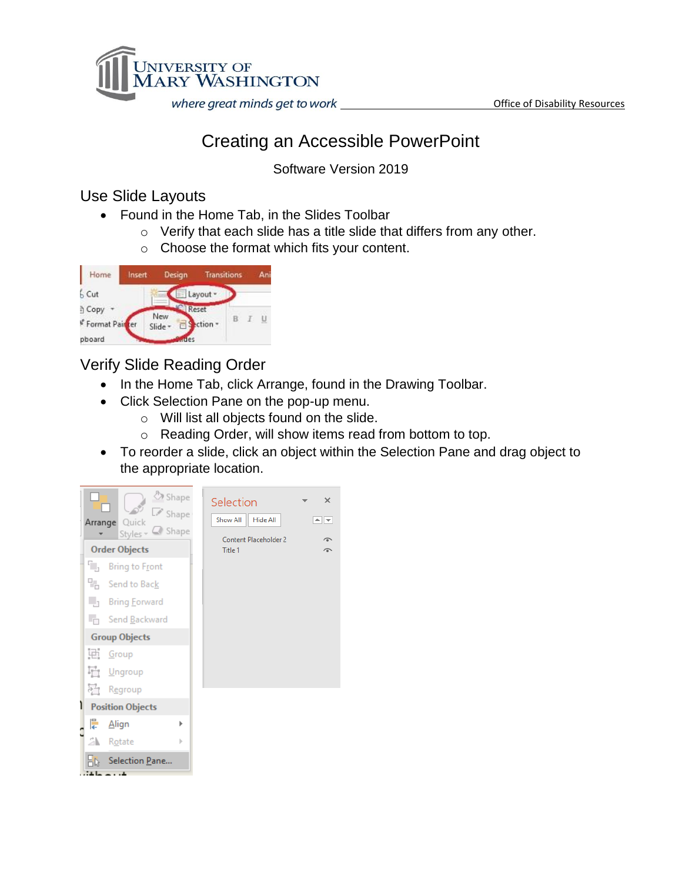

## Creating an Accessible PowerPoint

Software Version 2019

## Use Slide Layouts

- Found in the Home Tab, in the Slides Toolbar
	- o Verify that each slide has a title slide that differs from any other.
	- o Choose the format which fits your content.

| Home           | Insert | Design         | <b>Transitions</b> |     |    | An |
|----------------|--------|----------------|--------------------|-----|----|----|
| 6 Cut          |        |                | E Layout *         |     |    |    |
| Copy           |        |                | Reset              |     |    |    |
| Format Pairter |        | New<br>Slide - | ction -            | - B | T. | U  |
| pboard         |        | des            |                    |     |    |    |

## Verify Slide Reading Order

- In the Home Tab, click Arrange, found in the Drawing Toolbar.
- Click Selection Pane on the pop-up menu.
	- o Will list all objects found on the slide.
		- o Reading Order, will show items read from bottom to top.
- To reorder a slide, click an object within the Selection Pane and drag object to the appropriate location.

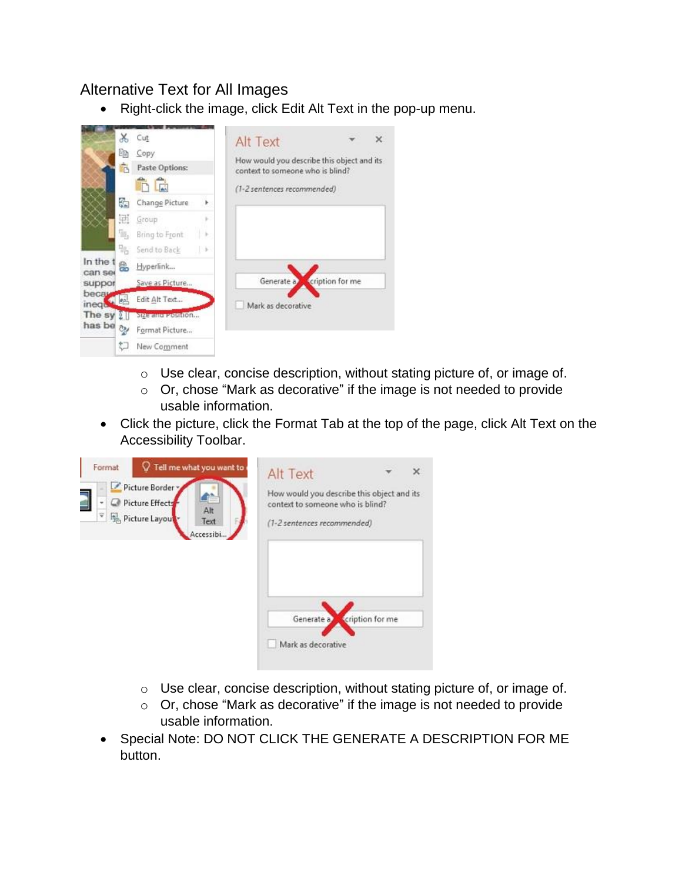## Alternative Text for All Images

• Right-click the image, click Edit Alt Text in the pop-up menu.



- o Use clear, concise description, without stating picture of, or image of.
- o Or, chose "Mark as decorative" if the image is not needed to provide usable information.
- Click the picture, click the Format Tab at the top of the page, click Alt Text on the Accessibility Toolbar.

| Tell me what you want to<br>Format<br>Picture Border<br>ş<br>Picture Effects<br>Alt<br>Ÿ,<br>Picture Layout<br>Text<br>Accessibi | Alt Text<br>×<br>How would you describe this object and its<br>context to someone who is blind?<br>(1-2 sentences recommended) |
|----------------------------------------------------------------------------------------------------------------------------------|--------------------------------------------------------------------------------------------------------------------------------|
|                                                                                                                                  | cription for me<br>Generate a<br>Mark as decorative                                                                            |

- o Use clear, concise description, without stating picture of, or image of.
- o Or, chose "Mark as decorative" if the image is not needed to provide usable information.
- Special Note: DO NOT CLICK THE GENERATE A DESCRIPTION FOR ME button.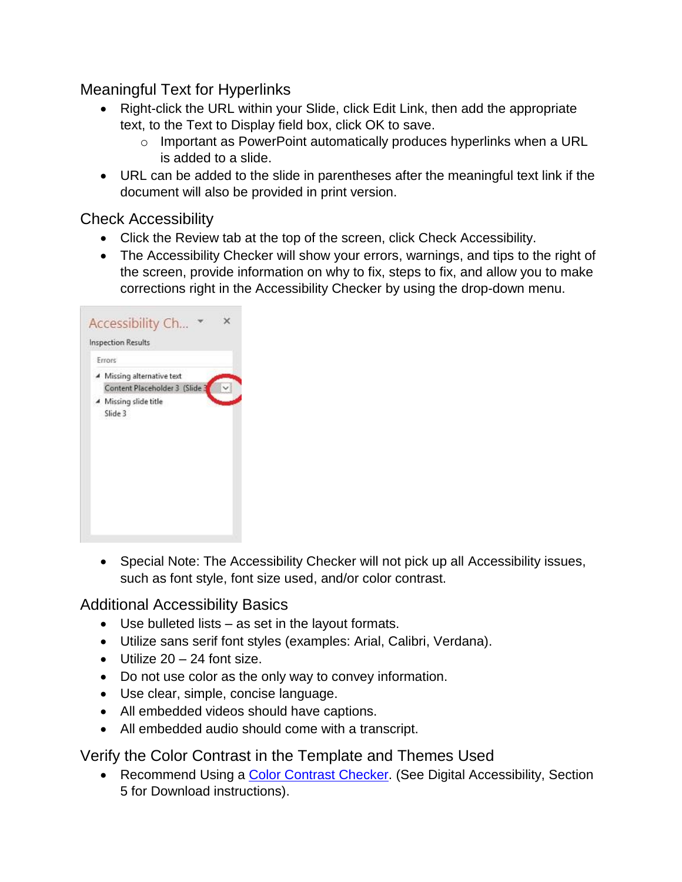Meaningful Text for Hyperlinks

- Right-click the URL within your Slide, click Edit Link, then add the appropriate text, to the Text to Display field box, click OK to save.
	- o Important as PowerPoint automatically produces hyperlinks when a URL is added to a slide.
- URL can be added to the slide in parentheses after the meaningful text link if the document will also be provided in print version.

Check Accessibility

- Click the Review tab at the top of the screen, click Check Accessibility.
- The Accessibility Checker will show your errors, warnings, and tips to the right of the screen, provide information on why to fix, steps to fix, and allow you to make corrections right in the Accessibility Checker by using the drop-down menu.

| Errors<br>Missing alternative text |
|------------------------------------|
| Content Placeholder 3 (Slide 3     |
| ▲ Missing slide title<br>Slide 3   |
|                                    |
|                                    |
|                                    |

• Special Note: The Accessibility Checker will not pick up all Accessibility issues, such as font style, font size used, and/or color contrast.

Additional Accessibility Basics

- Use bulleted lists as set in the layout formats.
- Utilize sans serif font styles (examples: Arial, Calibri, Verdana).
- $\bullet$  Utilize 20 24 font size.
- Do not use color as the only way to convey information.
- Use clear, simple, concise language.
- All embedded videos should have captions.
- All embedded audio should come with a transcript.

Verify the Color Contrast in the Template and Themes Used

• Recommend Using a [Color Contrast Checker.](https://github.com/ThePacielloGroup/CCAe/releases/tag/v1.1.0) (See Digital Accessibility, Section 5 for Download instructions).